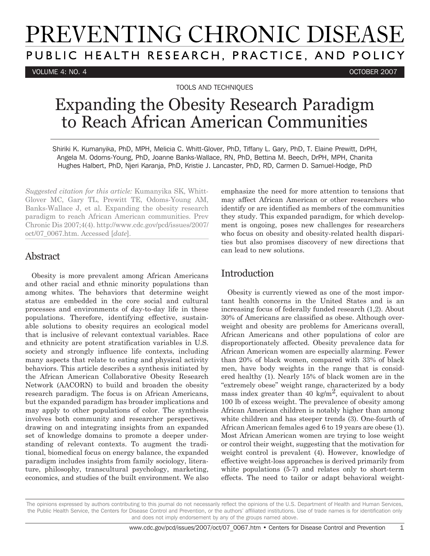# PREVENTING CHRONIC DISEASE PUBLIC HEALTH RESEARCH, PRACTICE, AND POLICY

VOLUME 4: NO. 4 OCTOBER 2007

TOOLS AND TECHNIQUES

# Expanding the Obesity Research Paradigm to Reach African American Communities

Shiriki K. Kumanyika, PhD, MPH, Melicia C. Whitt-Glover, PhD, Tiffany L. Gary, PhD, T. Elaine Prewitt, DrPH, Angela M. Odoms-Young, PhD, Joanne Banks-Wallace, RN, PhD, Bettina M. Beech, DrPH, MPH, Chanita Hughes Halbert, PhD, Njeri Karanja, PhD, Kristie J. Lancaster, PhD, RD, Carmen D. Samuel-Hodge, PhD

*Suggested citation for this article:* Kumanyika SK, Whitt-Glover MC, Gary TL, Prewitt TE, Odoms-Young AM, Banks-Wallace J, et al. Expanding the obesity research paradigm to reach African American communities. Prev Chronic Dis 2007;4(4). http://www.cdc.gov/pcd/issues/2007/ oct/07\_0067.htm. Accessed [*date*].

# Abstract

Obesity is more prevalent among African Americans and other racial and ethnic minority populations than among whites. The behaviors that determine weight status are embedded in the core social and cultural processes and environments of day-to-day life in these populations. Therefore, identifying effective, sustainable solutions to obesity requires an ecological model that is inclusive of relevant contextual variables. Race and ethnicity are potent stratification variables in U.S. society and strongly influence life contexts, including many aspects that relate to eating and physical activity behaviors. This article describes a synthesis initiated by the African American Collaborative Obesity Research Network (AACORN) to build and broaden the obesity research paradigm. The focus is on African Americans, but the expanded paradigm has broader implications and may apply to other populations of color. The synthesis involves both community and researcher perspectives, drawing on and integrating insights from an expanded set of knowledge domains to promote a deeper understanding of relevant contexts. To augment the traditional, biomedical focus on energy balance, the expanded paradigm includes insights from family sociology, literature, philosophy, transcultural psychology, marketing, economics, and studies of the built environment. We also emphasize the need for more attention to tensions that may affect African American or other researchers who identify or are identified as members of the communities they study. This expanded paradigm, for which development is ongoing, poses new challenges for researchers who focus on obesity and obesity-related health disparities but also promises discovery of new directions that can lead to new solutions.

# Introduction

Obesity is currently viewed as one of the most important health concerns in the United States and is an increasing focus of federally funded research (1,2). About 30% of Americans are classified as obese. Although overweight and obesity are problems for Americans overall, African Americans and other populations of color are disproportionately affected. Obesity prevalence data for African American women are especially alarming. Fewer than 20% of black women, compared with 33% of black men, have body weights in the range that is considered healthy (1). Nearly 15% of black women are in the "extremely obese" weight range, characterized by a body mass index greater than 40 kg/m<sup>2</sup>, equivalent to about 100 lb of excess weight. The prevalence of obesity among African American children is notably higher than among white children and has steeper trends (3). One-fourth of African American females aged 6 to 19 years are obese (1). Most African American women are trying to lose weight or control their weight, suggesting that the motivation for weight control is prevalent (4). However, knowledge of effective weight-loss approaches is derived primarily from white populations (5-7) and relates only to short-term effects. The need to tailor or adapt behavioral weight-

The opinions expressed by authors contributing to this journal do not necessarily reflect the opinions of the U.S. Department of Health and Human Services, the Public Health Service, the Centers for Disease Control and Prevention, or the authors' affiliated institutions. Use of trade names is for identification only and does not imply endorsement by any of the groups named above.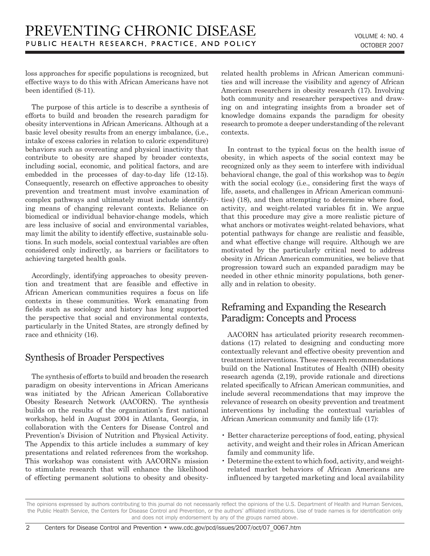loss approaches for specific populations is recognized, but effective ways to do this with African Americans have not been identified (8-11).

The purpose of this article is to describe a synthesis of efforts to build and broaden the research paradigm for obesity interventions in African Americans. Although at a basic level obesity results from an energy imbalance, (i.e., intake of excess calories in relation to caloric expenditure) behaviors such as overeating and physical inactivity that contribute to obesity are shaped by broader contexts, including social, economic, and political factors, and are embedded in the processes of day-to-day life (12-15). Consequently, research on effective approaches to obesity prevention and treatment must involve examination of complex pathways and ultimately must include identifying means of changing relevant contexts. Reliance on biomedical or individual behavior-change models, which are less inclusive of social and environmental variables, may limit the ability to identify effective, sustainable solutions. In such models, social contextual variables are often considered only indirectly, as barriers or facilitators to achieving targeted health goals.

Accordingly, identifying approaches to obesity prevention and treatment that are feasible and effective in African American communities requires a focus on life contexts in these communities. Work emanating from fields such as sociology and history has long supported the perspective that social and environmental contexts, particularly in the United States, are strongly defined by race and ethnicity (16).

# Synthesis of Broader Perspectives

The synthesis of efforts to build and broaden the research paradigm on obesity interventions in African Americans was initiated by the African American Collaborative Obesity Research Network (AACORN). The synthesis builds on the results of the organization's first national workshop, held in August 2004 in Atlanta, Georgia, in collaboration with the Centers for Disease Control and Prevention's Division of Nutrition and Physical Activity. The Appendix to this article includes a summary of key presentations and related references from the workshop. This workshop was consistent with AACORN's mission to stimulate research that will enhance the likelihood of effecting permanent solutions to obesity and obesityrelated health problems in African American communities and will increase the visibility and agency of African American researchers in obesity research (17). Involving both community and researcher perspectives and drawing on and integrating insights from a broader set of knowledge domains expands the paradigm for obesity research to promote a deeper understanding of the relevant contexts.

In contrast to the typical focus on the health issue of obesity, in which aspects of the social context may be recognized only as they seem to interfere with individual behavioral change, the goal of this workshop was to *begin* with the social ecology (i.e., considering first the ways of life, assets, and challenges in African American communities) (18), and then attempting to determine where food, activity, and weight-related variables fit in. We argue that this procedure may give a more realistic picture of what anchors or motivates weight-related behaviors, what potential pathways for change are realistic and feasible, and what effective change will require. Although we are motivated by the particularly critical need to address obesity in African American communities, we believe that progression toward such an expanded paradigm may be needed in other ethnic minority populations, both generally and in relation to obesity.

# Reframing and Expanding the Research Paradigm: Concepts and Process

AACORN has articulated priority research recommendations (17) related to designing and conducting more contextually relevant and effective obesity prevention and treatment interventions. These research recommendations build on the National Institutes of Health (NIH) obesity research agenda (2,19), provide rationale and directions related specifically to African American communities, and include several recommendations that may improve the relevance of research on obesity prevention and treatment interventions by including the contextual variables of African American community and family life (17):

- Better characterize perceptions of food, eating, physical activity, and weight and their roles in African American family and community life.
- Determine the extent to which food, activity, and weightrelated market behaviors of African Americans are influenced by targeted marketing and local availability

The opinions expressed by authors contributing to this journal do not necessarily reflect the opinions of the U.S. Department of Health and Human Services, the Public Health Service, the Centers for Disease Control and Prevention, or the authors' affiliated institutions. Use of trade names is for identification only and does not imply endorsement by any of the groups named above.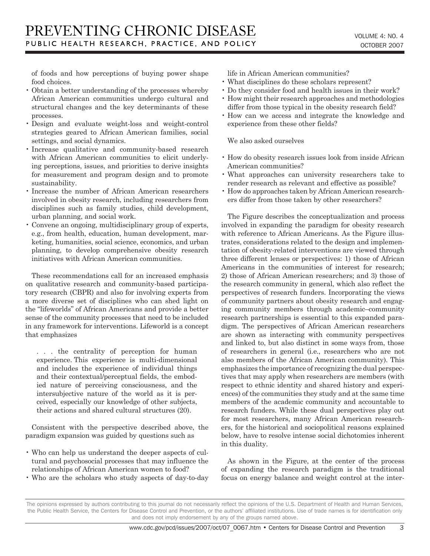of foods and how perceptions of buying power shape food choices.

- Obtain a better understanding of the processes whereby African American communities undergo cultural and structural changes and the key determinants of these processes.
- Design and evaluate weight-loss and weight-control strategies geared to African American families, social settings, and social dynamics.
- Increase qualitative and community-based research with African American communities to elicit underlying perceptions, issues, and priorities to derive insights for measurement and program design and to promote sustainability.
- Increase the number of African American researchers involved in obesity research, including researchers from disciplines such as family studies, child development, urban planning, and social work.
- Convene an ongoing, multidisciplinary group of experts, e.g., from health, education, human development, marketing, humanities, social science, economics, and urban planning, to develop comprehensive obesity research initiatives with African American communities.

These recommendations call for an increased emphasis on qualitative research and community-based participatory research (CBPR) and also for involving experts from a more diverse set of disciplines who can shed light on the "lifeworlds" of African Americans and provide a better sense of the community processes that need to be included in any framework for interventions. Lifeworld is a concept that emphasizes

. . . the centrality of perception for human experience. This experience is multi-dimensional and includes the experience of individual things and their contextual/perceptual fields, the embodied nature of perceiving consciousness, and the intersubjective nature of the world as it is perceived, especially our knowledge of other subjects, their actions and shared cultural structures (20).

Consistent with the perspective described above, the paradigm expansion was guided by questions such as

- Who can help us understand the deeper aspects of cultural and psychosocial processes that may influence the relationships of African American women to food?
- Who are the scholars who study aspects of day-to-day

life in African American communities?

- What disciplines do these scholars represent?
- Do they consider food and health issues in their work?
- How might their research approaches and methodologies differ from those typical in the obesity research field?
- How can we access and integrate the knowledge and experience from these other fields?

We also asked ourselves

- How do obesity research issues look from inside African American communities?
- What approaches can university researchers take to render research as relevant and effective as possible?
- How do approaches taken by African American researchers differ from those taken by other researchers?

The Figure describes the conceptualization and process involved in expanding the paradigm for obesity research with reference to African Americans. As the Figure illustrates, considerations related to the design and implementation of obesity-related interventions are viewed through three different lenses or perspectives: 1) those of African Americans in the communities of interest for research; 2) those of African American researchers; and 3) those of the research community in general, which also reflect the perspectives of research funders. Incorporating the views of community partners about obesity research and engaging community members through academic–community research partnerships is essential to this expanded paradigm. The perspectives of African American researchers are shown as interacting with community perspectives and linked to, but also distinct in some ways from, those of researchers in general (i.e., researchers who are not also members of the African American community). This emphasizes the importance of recognizing the dual perspectives that may apply when researchers are members (with respect to ethnic identity and shared history and experiences) of the communities they study and at the same time members of the academic community and accountable to research funders. While these dual perspectives play out for most researchers, many African American researchers, for the historical and sociopolitical reasons explained below, have to resolve intense social dichotomies inherent in this duality.

As shown in the Figure, at the center of the process of expanding the research paradigm is the traditional focus on energy balance and weight control at the inter-

The opinions expressed by authors contributing to this journal do not necessarily reflect the opinions of the U.S. Department of Health and Human Services, the Public Health Service, the Centers for Disease Control and Prevention, or the authors' affiliated institutions. Use of trade names is for identification only and does not imply endorsement by any of the groups named above.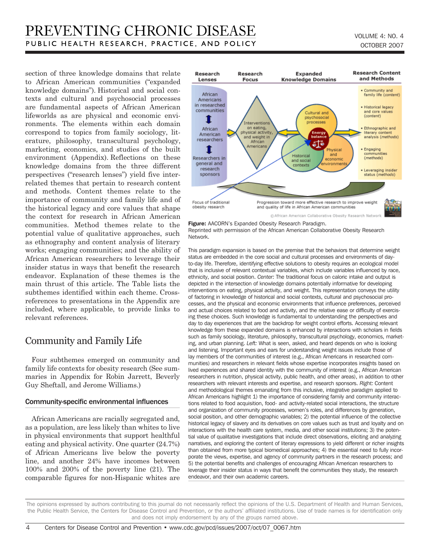section of three knowledge domains that relate to African American communities ("expanded knowledge domains"). Historical and social contexts and cultural and psychosocial processes are fundamental aspects of African American lifeworlds as are physical and economic environments. The elements within each domain correspond to topics from family sociology, literature, philosophy, transcultural psychology, marketing, economics, and studies of the built environment (Appendix). Reflections on these knowledge domains from the three different perspectives ("research lenses") yield five interrelated themes that pertain to research content and methods. Content themes relate to the importance of community and family life and of the historical legacy and core values that shape the context for research in African American communities. Method themes relate to the potential value of qualitative approaches, such as ethnography and content analysis of literary works; engaging communities; and the ability of African American researchers to leverage their insider status in ways that benefit the research endeavor. Explanation of these themes is the main thrust of this article. The Table lists the subthemes identified within each theme. Crossreferences to presentations in the Appendix are included, where applicable, to provide links to relevant references.

### Community and Family Life

Four subthemes emerged on community and family life contexts for obesity research (See summaries in Appendix for Robin Jarrett, Beverly Guy Sheftall, and Jerome Williams.)

#### Community-specific environmental influences

African Americans are racially segregated and, as a population, are less likely than whites to live in physical environments that support healthful eating and physical activity. One quarter (24.7%) of African Americans live below the poverty line, and another 24% have incomes between 100% and 200% of the poverty line (21). The comparable figures for non-Hispanic whites are



Figure: AACORN's Expanded Obesity Research Paradigm. Reprinted with permission of the African American Collaborative Obesity Research Network.

This paradigm expansion is based on the premise that the behaviors that determine weight status are embedded in the core social and cultural processes and environments of dayto-day life. Therefore, identifying effective solutions to obesity requires an ecological model that is inclusive of relevant contextual variables, which include variables influenced by race, ethnicity, and social position. *Center:* The traditional focus on caloric intake and output is depicted in the intersection of knowledge domains potentially informative for developing interventions on eating, physical activity, and weight. This representation conveys the utility of factoring in knowledge of historical and social contexts, cultural and psychosocial processes, and the physical and economic environments that influence preferences, perceived and actual choices related to food and activity, and the relative ease or difficulty of exercising these choices. Such knowledge is fundamental to understanding the perspectives and day to day experiences that are the backdrop for weight control efforts. Accessing relevant knowledge from these expanded domains is enhanced by interactions with scholars in fields such as family sociology, literature, philosophy, transcultural psychology, economics, marketing, and urban planning. *Left:* What is seen, asked, and heard depends on who is looking and listening. Important eyes and ears for understanding weight issues include those of lay members of the communities of interest (e.g., African Americans in researched communities) and researchers in relevant fields whose expertise incorporates insights based on lived experiences and shared identity with the community of interest (e.g., African American researchers in nutrition, physical activity, public health, and other areas), in addition to other researchers with relevant interests and expertise, and research sponsors. *Right:* Content and methodological themes emanating from this inclusive, integrative paradigm applied to African Americans highlight 1) the importance of considering family and community interactions related to food acquisition, food- and activity-related social interactions, the structure and organization of community processes, women's roles, and differences by generation, social position, and other demographic variables; 2) the potential influence of the collective historical legacy of slavery and its derivatives on core values such as trust and loyalty and on interactions with the health care system, media, and other social institutions; 3) the potential value of qualitative investigations that include direct observations, eliciting and analyzing narratives, and exploring the content of literary expressions to yield different or richer insights than obtained from more typical biomedical approaches; 4) the essential need to fully incorporate the views, expertise, and agency of community partners in the research process; and 5) the potential benefits and challenges of encouraging African American researchers to leverage their insider status in ways that benefit the communities they study, the research endeavor, and their own academic careers.

The opinions expressed by authors contributing to this journal do not necessarily reflect the opinions of the U.S. Department of Health and Human Services, the Public Health Service, the Centers for Disease Control and Prevention, or the authors' affiliated institutions. Use of trade names is for identification only and does not imply endorsement by any of the groups named above.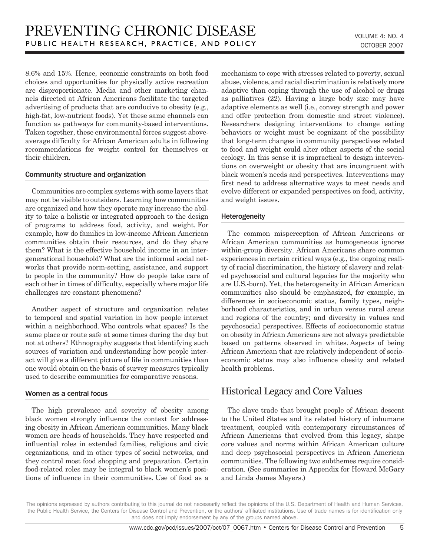8.6% and 15%. Hence, economic constraints on both food choices and opportunities for physically active recreation are disproportionate. Media and other marketing channels directed at African Americans facilitate the targeted advertising of products that are conducive to obesity (e.g., high-fat, low-nutrient foods). Yet these same channels can function as pathways for community-based interventions. Taken together, these environmental forces suggest aboveaverage difficulty for African American adults in following recommendations for weight control for themselves or their children.

#### Community structure and organization

Communities are complex systems with some layers that may not be visible to outsiders. Learning how communities are organized and how they operate may increase the ability to take a holistic or integrated approach to the design of programs to address food, activity, and weight. For example, how do families in low-income African American communities obtain their resources, and do they share them? What is the effective household income in an intergenerational household? What are the informal social networks that provide norm-setting, assistance, and support to people in the community? How do people take care of each other in times of difficulty, especially where major life challenges are constant phenomena?

Another aspect of structure and organization relates to temporal and spatial variation in how people interact within a neighborhood. Who controls what spaces? Is the same place or route safe at some times during the day but not at others? Ethnography suggests that identifying such sources of variation and understanding how people interact will give a different picture of life in communities than one would obtain on the basis of survey measures typically used to describe communities for comparative reasons.

#### Women as a central focus

The high prevalence and severity of obesity among black women strongly influence the context for addressing obesity in African American communities. Many black women are heads of households. They have respected and influential roles in extended families, religious and civic organizations, and in other types of social networks, and they control most food shopping and preparation. Certain food-related roles may be integral to black women's positions of influence in their communities. Use of food as a mechanism to cope with stresses related to poverty, sexual abuse, violence, and racial discrimination is relatively more adaptive than coping through the use of alcohol or drugs as palliatives (22). Having a large body size may have adaptive elements as well (i.e., convey strength and power and offer protection from domestic and street violence). Researchers designing interventions to change eating behaviors or weight must be cognizant of the possibility that long-term changes in community perspectives related to food and weight could alter other aspects of the social ecology. In this sense it is impractical to design interventions on overweight or obesity that are incongruent with black women's needs and perspectives. Interventions may first need to address alternative ways to meet needs and evolve different or expanded perspectives on food, activity, and weight issues.

#### Heterogeneity

The common misperception of African Americans or African American communities as homogeneous ignores within-group diversity. African Americans share common experiences in certain critical ways (e.g., the ongoing reality of racial discrimination, the history of slavery and related psychosocial and cultural legacies for the majority who are U.S.-born). Yet, the heterogeneity in African American communities also should be emphasized, for example, in differences in socioeconomic status, family types, neighborhood characteristics, and in urban versus rural areas and regions of the country; and diversity in values and psychosocial perspectives. Effects of socioeconomic status on obesity in African Americans are not always predictable based on patterns observed in whites. Aspects of being African American that are relatively independent of socioeconomic status may also influence obesity and related health problems.

### Historical Legacy and Core Values

The slave trade that brought people of African descent to the United States and its related history of inhumane treatment, coupled with contemporary circumstances of African Americans that evolved from this legacy, shape core values and norms within African American culture and deep psychosocial perspectives in African American communities. The following two subthemes require consideration. (See summaries in Appendix for Howard McGary and Linda James Meyers.)

The opinions expressed by authors contributing to this journal do not necessarily reflect the opinions of the U.S. Department of Health and Human Services, the Public Health Service, the Centers for Disease Control and Prevention, or the authors' affiliated institutions. Use of trade names is for identification only and does not imply endorsement by any of the groups named above.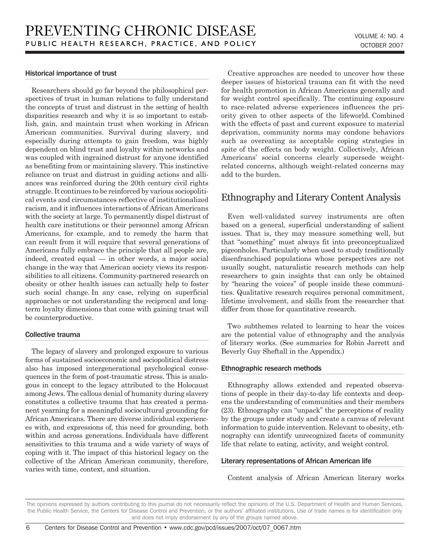#### Historical importance of trust

Researchers should go far beyond the philosophical perspectives of trust in human relations to fully understand the concepts of trust and distrust in the setting of health disparities research and why it is so important to establish, gain, and maintain trust when working in African American communities. Survival during slavery, and especially during attempts to gain freedom, was highly dependent on blind trust and loyalty within networks and was coupled with ingrained distrust for anyone identified as benefiting from or maintaining slavery. This instinctive reliance on trust and distrust in guiding actions and alliances was reinforced during the 20th century civil rights struggle. It continues to be reinforced by various sociopolitical events and circumstances reflective of institutionalized racism, and it influences interactions of African Americans with the society at large. To permanently dispel distrust of health care institutions or their personnel among African Americans, for example, and to remedy the harm that can result from it will require that several generations of Americans fully embrace the principle that all people are, indeed, created equal — in other words, a major social change in the way that American society views its responsibilities to all citizens. Community-partnered research on obesity or other health issues can actually help to foster such social change. In any case, relying on superficial approaches or not understanding the reciprocal and longterm loyalty dimensions that come with gaining trust will be counterproductive.

#### Collective trauma

The legacy of slavery and prolonged exposure to various forms of sustained socioeconomic and sociopolitical distress also has imposed intergenerational psychological consequences in the form of post-traumatic stress. This is analogous in concept to the legacy attributed to the Holocaust among Jews. The callous denial of humanity during slavery constitutes a collective trauma that has created a permanent yearning for a meaningful sociocultural grounding for African Americans. There are diverse individual experiences with, and expressions of, this need for grounding, both within and across generations. Individuals have different sensitivities to this trauma and a wide variety of ways of coping with it. The impact of this historical legacy on the collective of the African American community, therefore, varies with time, context, and situation.

Creative approaches are needed to uncover how these deeper issues of historical trauma can fit with the need for health promotion in African Americans generally and for weight control specifically. The continuing exposure to race-related adverse experiences influences the priority given to other aspects of the lifeworld. Combined with the effects of past and current exposure to material deprivation, community norms may condone behaviors such as overeating as acceptable coping strategies in spite of the effects on body weight. Collectively, African Americans' social concerns clearly supersede weightrelated concerns, although weight-related concerns may add to the burden.

### Ethnography and Literary Content Analysis

Even well-validated survey instruments are often based on a general, superficial understanding of salient issues. That is, they may measure something well, but that "something" must always fit into preconceptualized pigeonholes. Particularly when used to study traditionally disenfranchised populations whose perspectives are not usually sought, naturalistic research methods can help researchers to gain insights that can only be obtained by "hearing the voices" of people inside these communities. Qualitative research requires personal commitment, lifetime involvement, and skills from the researcher that differ from those for quantitative research.

Two subthemes related to learning to hear the voices are the potential value of ethnography and the analysis of literary works. (See summaries for Robin Jarrett and Beverly Guy Sheftall in the Appendix.)

#### Ethnographic research methods

Ethnography allows extended and repeated observations of people in their day-to-day life contexts and deepens the understanding of communities and their members (23). Ethnography can "unpack" the perceptions of reality by the groups under study and create a canvas of relevant information to guide intervention. Relevant to obesity, ethnography can identify unrecognized facets of community life that relate to eating, activity, and weight control.

#### Literary representations of African American life

Content analysis of African American literary works

The opinions expressed by authors contributing to this journal do not necessarily reflect the opinions of the U.S. Department of Health and Human Services, the Public Health Service, the Centers for Disease Control and Prevention, or the authors' affiliated institutions. Use of trade names is for identification only and does not imply endorsement by any of the groups named above.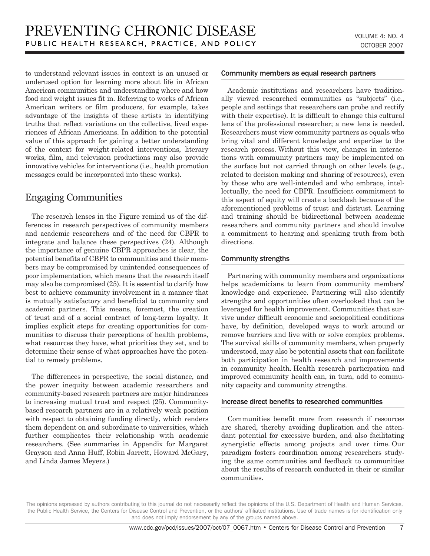to understand relevant issues in context is an unused or underused option for learning more about life in African American communities and understanding where and how food and weight issues fit in. Referring to works of African American writers or film producers, for example, takes advantage of the insights of these artists in identifying truths that reflect variations on the collective, lived experiences of African Americans. In addition to the potential value of this approach for gaining a better understanding of the context for weight-related interventions, literary works, film, and television productions may also provide innovative vehicles for interventions (i.e., health promotion messages could be incorporated into these works).

# Engaging Communities

The research lenses in the Figure remind us of the differences in research perspectives of community members and academic researchers and of the need for CBPR to integrate and balance these perspectives (24). Although the importance of genuine CBPR approaches is clear, the potential benefits of CBPR to communities and their members may be compromised by unintended consequences of poor implementation, which means that the research itself may also be compromised (25). It is essential to clarify how best to achieve community involvement in a manner that is mutually satisfactory and beneficial to community and academic partners. This means, foremost, the creation of trust and of a social contract of long-term loyalty. It implies explicit steps for creating opportunities for communities to discuss their perceptions of health problems, what resources they have, what priorities they set, and to determine their sense of what approaches have the potential to remedy problems.

The differences in perspective, the social distance, and the power inequity between academic researchers and community-based research partners are major hindrances to increasing mutual trust and respect (25). Communitybased research partners are in a relatively weak position with respect to obtaining funding directly, which renders them dependent on and subordinate to universities, which further complicates their relationship with academic researchers. (See summaries in Appendix for Margaret Grayson and Anna Huff, Robin Jarrett, Howard McGary, and Linda James Meyers.)

#### Community members as equal research partners

Academic institutions and researchers have traditionally viewed researched communities as "subjects" (i.e., people and settings that researchers can probe and rectify with their expertise). It is difficult to change this cultural lens of the professional researcher; a new lens is needed. Researchers must view community partners as equals who bring vital and different knowledge and expertise to the research process. Without this view, changes in interactions with community partners may be implemented on the surface but not carried through on other levels (e.g., related to decision making and sharing of resources), even by those who are well-intended and who embrace, intellectually, the need for CBPR. Insufficient commitment to this aspect of equity will create a backlash because of the aforementioned problems of trust and distrust. Learning and training should be bidirectional between academic researchers and community partners and should involve a commitment to hearing and speaking truth from both directions.

#### Community strengths

Partnering with community members and organizations helps academicians to learn from community members' knowledge and experience. Partnering will also identify strengths and opportunities often overlooked that can be leveraged for health improvement. Communities that survive under difficult economic and sociopolitical conditions have, by definition, developed ways to work around or remove barriers and live with or solve complex problems. The survival skills of community members, when properly understood, may also be potential assets that can facilitate both participation in health research and improvements in community health. Health research participation and improved community health can, in turn, add to community capacity and community strengths.

#### Increase direct benefits to researched communities

Communities benefit more from research if resources are shared, thereby avoiding duplication and the attendant potential for excessive burden, and also facilitating synergistic effects among projects and over time. Our paradigm fosters coordination among researchers studying the same communities and feedback to communities about the results of research conducted in their or similar communities.

 $\overline{7}$ 

The opinions expressed by authors contributing to this journal do not necessarily reflect the opinions of the U.S. Department of Health and Human Services, the Public Health Service, the Centers for Disease Control and Prevention, or the authors' affiliated institutions. Use of trade names is for identification only and does not imply endorsement by any of the groups named above.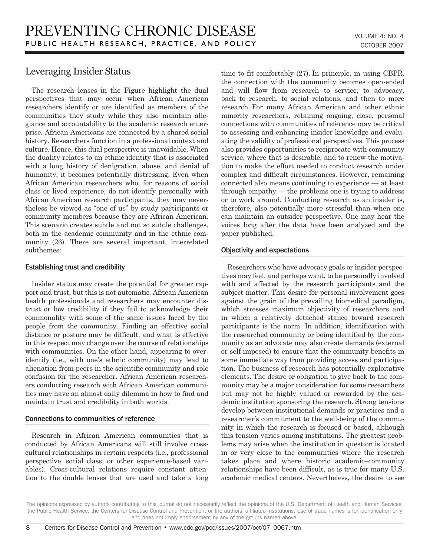### Leveraging Insider Status

The research lenses in the Figure highlight the dual perspectives that may occur when African American researchers identify or are identified as members of the communities they study while they also maintain allegiance and accountability to the academic research enterprise. African Americans are connected by a shared social history. Researchers function in a professional context and culture. Hence, this dual perspective is unavoidable. When the duality relates to an ethnic identity that is associated with a long history of denigration, abuse, and denial of humanity, it becomes potentially distressing. Even when African American researchers who, for reasons of social class or lived experience, do not identify personally with African American research participants, they may nevertheless be viewed as "one of us" by study participants or community members because they are African American. This scenario creates subtle and not so subtle challenges, both in the academic community and in the ethnic community (26). There are several important, interrelated subthemes:

#### Establishing trust and credibility

Insider status may create the potential for greater rapport and trust, but this is not automatic. African American health professionals and researchers may encounter distrust or low credibility if they fail to acknowledge their commonality with some of the same issues faced by the people from the community. Finding an effective social distance or posture may be difficult, and what is effective in this respect may change over the course of relationships with communities. On the other hand, appearing to overidentify (i.e., with one's ethnic community) may lead to alienation from peers in the scientific community and role confusion for the researcher. African American researchers conducting research with African American communities may have an almost daily dilemma in how to find and maintain trust and credibility in both worlds.

### Connections to communities of reference

Research in African American communities that is conducted by African Americans will still involve crosscultural relationships in certain respects (i.e., professional perspective, social class, or other experience-based variables). Cross-cultural relations require constant attention to the double lenses that are used and take a long time to fit comfortably (27). In principle, in using CBPR, the connection with the community becomes open-ended and will flow from research to service, to advocacy, back to research, to social relations, and then to more research. For many African American and other ethnic minority researchers, retaining ongoing, close, personal connections with communities of reference may be critical to assessing and enhancing insider knowledge and evaluating the validity of professional perspectives. This process also provides opportunities to reciprocate with community service, where that is desirable, and to renew the motivation to make the effort needed to conduct research under complex and difficult circumstances. However, remaining connected also means continuing to experience — at least through empathy — the problems one is trying to address or to work around. Conducting research as an insider is, therefore, also potentially more stressful than when one can maintain an outsider perspective. One may hear the voices long after the data have been analyzed and the paper published.

### Objectivity and expectations

Researchers who have advocacy goals or insider perspectives may feel, and perhaps want, to be personally involved with and affected by the research participants and the subject matter. This desire for personal involvement goes against the grain of the prevailing biomedical paradigm, which stresses maximum objectivity of researchers and in which a relatively detached stance toward research participants is the norm. In addition, identification with the researched community or being identified by the community as an advocate may also create demands (external or self-imposed) to ensure that the community benefits in some immediate way from providing access and participation. The business of research has potentially exploitative elements. The desire or obligation to give back to the community may be a major consideration for some researchers but may not be highly valued or rewarded by the academic institution sponsoring the research. Strong tensions develop between institutional demands or practices and a researcher's commitment to the well-being of the community in which the research is focused or based, although this tension varies among institutions. The greatest problems may arise when the institution in question is located in or very close to the communities where the research takes place and where historic academic–community relationships have been difficult, as is true for many U.S. academic medical centers. Nevertheless, the desire to see

The opinions expressed by authors contributing to this journal do not necessarily reflect the opinions of the U.S. Department of Health and Human Services, the Public Health Service, the Centers for Disease Control and Prevention, or the authors' affiliated institutions. Use of trade names is for identification only and does not imply endorsement by any of the groups named above.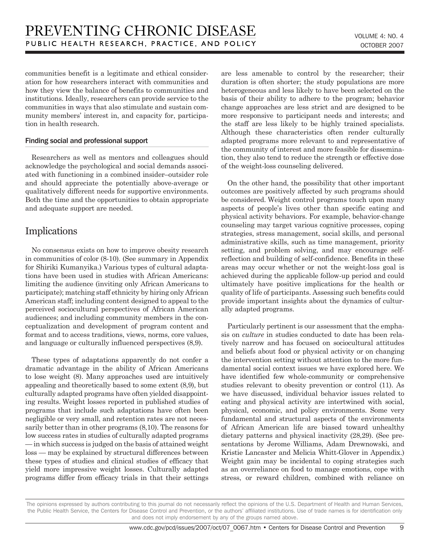communities benefit is a legitimate and ethical consideration for how researchers interact with communities and how they view the balance of benefits to communities and institutions. Ideally, researchers can provide service to the communities in ways that also stimulate and sustain community members' interest in, and capacity for, participation in health research.

#### Finding social and professional support

Researchers as well as mentors and colleagues should acknowledge the psychological and social demands associated with functioning in a combined insider–outsider role and should appreciate the potentially above-average or qualitatively different needs for supportive environments. Both the time and the opportunities to obtain appropriate and adequate support are needed.

# **Implications**

No consensus exists on how to improve obesity research in communities of color (8-10). (See summary in Appendix for Shiriki Kumanyika.) Various types of cultural adaptations have been used in studies with African Americans: limiting the audience (inviting only African Americans to participate); matching staff ethnicity by hiring only African American staff; including content designed to appeal to the perceived sociocultural perspectives of African American audiences; and including community members in the conceptualization and development of program content and format and to access traditions, views, norms, core values, and language or culturally influenced perspectives (8,9).

These types of adaptations apparently do not confer a dramatic advantage in the ability of African Americans to lose weight (8). Many approaches used are intuitively appealing and theoretically based to some extent (8,9), but culturally adapted programs have often yielded disappointing results. Weight losses reported in published studies of programs that include such adaptations have often been negligible or very small, and retention rates are not necessarily better than in other programs (8,10). The reasons for low success rates in studies of culturally adapted programs — in which success is judged on the basis of attained weight loss — may be explained by structural differences between these types of studies and clinical studies of efficacy that yield more impressive weight losses. Culturally adapted programs differ from efficacy trials in that their settings are less amenable to control by the researcher; their duration is often shorter; the study populations are more heterogeneous and less likely to have been selected on the basis of their ability to adhere to the program; behavior change approaches are less strict and are designed to be more responsive to participant needs and interests; and the staff are less likely to be highly trained specialists. Although these characteristics often render culturally adapted programs more relevant to and representative of the community of interest and more feasible for dissemination, they also tend to reduce the strength or effective dose of the weight-loss counseling delivered.

On the other hand, the possibility that other important outcomes are positively affected by such programs should be considered. Weight control programs touch upon many aspects of people's lives other than specific eating and physical activity behaviors. For example, behavior-change counseling may target various cognitive processes, coping strategies, stress management, social skills, and personal administrative skills, such as time management, priority setting, and problem solving, and may encourage selfreflection and building of self-confidence. Benefits in these areas may occur whether or not the weight-loss goal is achieved during the applicable follow-up period and could ultimately have positive implications for the health or quality of life of participants. Assessing such benefits could provide important insights about the dynamics of culturally adapted programs.

Particularly pertinent is our assessment that the emphasis on *culture* in studies conducted to date has been relatively narrow and has focused on sociocultural attitudes and beliefs about food or physical activity or on changing the intervention setting without attention to the more fundamental social context issues we have explored here. We have identified few whole-community or comprehensive studies relevant to obesity prevention or control (11). As we have discussed, individual behavior issues related to eating and physical activity are intertwined with social, physical, economic, and policy environments. Some very fundamental and structural aspects of the environments of African American life are biased toward unhealthy dietary patterns and physical inactivity (28,29). (See presentations by Jerome Williams, Adam Drewnowski, and Kristie Lancaster and Melicia Whitt-Glover in Appendix.) Weight gain may be incidental to coping strategies such as an overreliance on food to manage emotions, cope with stress, or reward children, combined with reliance on

The opinions expressed by authors contributing to this journal do not necessarily reflect the opinions of the U.S. Department of Health and Human Services, the Public Health Service, the Centers for Disease Control and Prevention, or the authors' affiliated institutions. Use of trade names is for identification only and does not imply endorsement by any of the groups named above.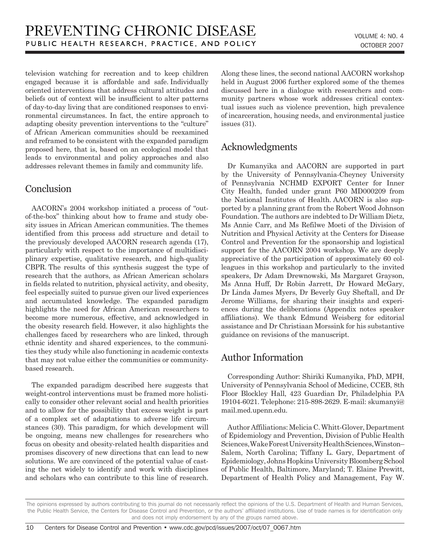television watching for recreation and to keep children engaged because it is affordable and safe. Individually oriented interventions that address cultural attitudes and beliefs out of context will be insufficient to alter patterns of day-to-day living that are conditioned responses to environmental circumstances. In fact, the entire approach to adapting obesity prevention interventions to the "culture" of African American communities should be reexamined and reframed to be consistent with the expanded paradigm proposed here, that is, based on an ecological model that leads to environmental and policy approaches and also addresses relevant themes in family and community life.

# **Conclusion**

AACORN's 2004 workshop initiated a process of "outof-the-box" thinking about how to frame and study obesity issues in African American communities. The themes identified from this process add structure and detail to the previously developed AACORN research agenda (17), particularly with respect to the importance of multidisciplinary expertise, qualitative research, and high-quality CBPR. The results of this synthesis suggest the type of research that the authors, as African American scholars in fields related to nutrition, physical activity, and obesity, feel especially suited to pursue given our lived experiences and accumulated knowledge. The expanded paradigm highlights the need for African American researchers to become more numerous, effective, and acknowledged in the obesity research field. However, it also highlights the challenges faced by researchers who are linked, through ethnic identity and shared experiences, to the communities they study while also functioning in academic contexts that may not value either the communities or communitybased research.

The expanded paradigm described here suggests that weight-control interventions must be framed more holistically to consider other relevant social and health priorities and to allow for the possibility that excess weight is part of a complex set of adaptations to adverse life circumstances (30). This paradigm, for which development will be ongoing, means new challenges for researchers who focus on obesity and obesity-related health disparities and promises discovery of new directions that can lead to new solutions. We are convinced of the potential value of casting the net widely to identify and work with disciplines and scholars who can contribute to this line of research. Along these lines, the second national AACORN workshop held in August 2006 further explored some of the themes discussed here in a dialogue with researchers and community partners whose work addresses critical contextual issues such as violence prevention, high prevalence of incarceration, housing needs, and environmental justice issues (31).

# Acknowledgments

Dr Kumanyika and AACORN are supported in part by the University of Pennsylvania-Cheyney University of Pennsylvania NCHMD EXPORT Center for Inner City Health, funded under grant P60 MD000209 from the National Institutes of Health. AACORN is also supported by a planning grant from the Robert Wood Johnson Foundation. The authors are indebted to Dr William Dietz, Ms Annie Carr, and Ms Refilwe Moeti of the Division of Nutrition and Physical Activity at the Centers for Disease Control and Prevention for the sponsorship and logistical support for the AACORN 2004 workshop. We are deeply appreciative of the participation of approximately 60 colleagues in this workshop and particularly to the invited speakers, Dr Adam Drewnowski, Ms Margaret Grayson, Ms Anna Huff, Dr Robin Jarrett, Dr Howard McGary, Dr Linda James Myers, Dr Beverly Guy Sheftall, and Dr Jerome Williams, for sharing their insights and experiences during the deliberations (Appendix notes speaker affiliations). We thank Edmund Weisberg for editorial assistance and Dr Christiaan Morssink for his substantive guidance on revisions of the manuscript.

### Author Information

Corresponding Author: Shiriki Kumanyika, PhD, MPH, University of Pennsylvania School of Medicine, CCEB, 8th Floor Blockley Hall, 423 Guardian Dr, Philadelphia PA 19104-6021. Telephone: 215-898-2629. E-mail: skumanyi@ mail.med.upenn.edu.

Author Affiliations: Melicia C. Whitt-Glover, Department of Epidemiology and Prevention, Division of Public Health Sciences, Wake Forest University Health Sciences, Winston– Salem, North Carolina; Tiffany L. Gary, Department of Epidemiology, Johns Hopkins University Bloomberg School of Public Health, Baltimore, Maryland; T. Elaine Prewitt, Department of Health Policy and Management, Fay W.

The opinions expressed by authors contributing to this journal do not necessarily reflect the opinions of the U.S. Department of Health and Human Services, the Public Health Service, the Centers for Disease Control and Prevention, or the authors' affiliated institutions. Use of trade names is for identification only and does not imply endorsement by any of the groups named above.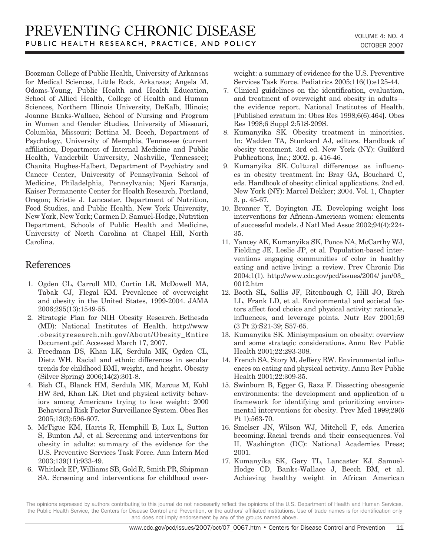Boozman College of Public Health, University of Arkansas for Medical Sciences, Little Rock, Arkansas; Angela M. Odoms-Young, Public Health and Health Education, School of Allied Health, College of Health and Human Sciences, Northern Illinois University, DeKalb, Illinois; Joanne Banks-Wallace, School of Nursing and Program in Women and Gender Studies, University of Missouri, Columbia, Missouri; Bettina M. Beech, Department of Psychology, University of Memphis, Tennessee (current affiliation, Department of Internal Medicine and Public Health, Vanderbilt University, Nashville, Tennessee); Chanita Hughes-Halbert, Department of Psychiatry and Cancer Center, University of Pennsylvania School of Medicine, Philadelphia, Pennsylvania; Njeri Karanja, Kaiser Permanente Center for Health Research, Portland, Oregon; Kristie J. Lancaster, Department of Nutrition, Food Studies, and Public Health, New York University, New York, New York; Carmen D. Samuel-Hodge, Nutrition Department, Schools of Public Health and Medicine, University of North Carolina at Chapel Hill, North Carolina.

# References

- 1. Ogden CL, Carroll MD, Curtin LR, McDowell MA, Tabak CJ, Flegal KM. Prevalence of overweight and obesity in the United States, 1999-2004. JAMA 2006;295(13):1549-55.
- 2. Strategic Plan for NIH Obesity Research. Bethesda (MD): National Institutes of Health. http://www .obesityresearch.nih.gov/About/Obesity\_Entire Document.pdf. Accessed March 17, 2007.
- 3. Freedman DS, Khan LK, Serdula MK, Ogden CL, Dietz WH. Racial and ethnic differences in secular trends for childhood BMI, weight, and height. Obesity (Silver Spring) 2006;14(2):301-8.
- 4. Bish CL, Blanck HM, Serdula MK, Marcus M, Kohl HW 3rd, Khan LK. Diet and physical activity behaviors among Americans trying to lose weight: 2000 Behavioral Risk Factor Surveillance System. Obes Res 2005;13(3):596-607.
- 5. McTigue KM, Harris R, Hemphill B, Lux L, Sutton S, Bunton AJ, et al. Screening and interventions for obesity in adults: summary of the evidence for the U.S. Preventive Services Task Force. Ann Intern Med 2003;139(11):933-49.
- 6. Whitlock EP, Williams SB, Gold R, Smith PR, Shipman SA. Screening and interventions for childhood over-

weight: a summary of evidence for the U.S. Preventive Services Task Force. Pediatrics 2005;116(1):e125-44.

- 7. Clinical guidelines on the identification, evaluation, and treatment of overweight and obesity in adults the evidence report. National Institutes of Health. [Published erratum in: Obes Res 1998;6(6):464]. Obes Res 1998;6 Suppl 2:51S-209S.
- 8. Kumanyika SK. Obesity treatment in minorities. In: Wadden TA, Stunkard AJ, editors. Handbook of obesity treatment. 3rd ed. New York (NY): Guilford Publications, Inc.; 2002. p. 416-46.
- 9. Kumanyika SK. Cultural differences as influences in obesity treatment. In: Bray GA, Bouchard C, eds. Handbook of obesity: clinical applications. 2nd ed. New York (NY): Marcel Dekker; 2004. Vol. 1, Chapter 3. p. 45-67.
- 10. Bronner Y, Boyington JE. Developing weight loss interventions for African-American women: elements of successful models. J Natl Med Assoc 2002;94(4):224- 35.
- 11. Yancey AK, Kumanyika SK, Ponce NA, McCarthy WJ, Fielding JE, Leslie JP, et al. Population-based interventions engaging communities of color in healthy eating and active living: a review. Prev Chronic Dis 2004;1(1). http://www.cdc.gov/pcd/issues/2004/ jan/03\_ 0012.htm
- 12. Booth SL, Sallis JF, Ritenbaugh C, Hill JO, Birch LL, Frank LD, et al. Environmental and societal factors affect food choice and physical activity: rationale, influences, and leverage points. Nutr Rev 2001;59 (3 Pt 2):S21-39; S57-65.
- 13. Kumanyika SK. Minisymposium on obesity: overview and some strategic considerations. Annu Rev Public Health 2001;22:293-308.
- 14. French SA, Story M, Jeffery RW. Environmental influences on eating and physical activity. Annu Rev Public Health 2001;22:309-35.
- 15. Swinburn B, Egger G, Raza F. Dissecting obesogenic environments: the development and application of a framework for identifying and prioritizing environmental interventions for obesity. Prev Med 1999;29(6 Pt 1):563-70.
- 16. Smelser JN, Wilson WJ, Mitchell F, eds. America becoming. Racial trends and their consequences. Vol II. Washington (DC): National Academies Press; 2001.
- 17. Kumanyika SK, Gary TL, Lancaster KJ, Samuel-Hodge CD, Banks-Wallace J, Beech BM, et al. Achieving healthy weight in African American

The opinions expressed by authors contributing to this journal do not necessarily reflect the opinions of the U.S. Department of Health and Human Services, the Public Health Service, the Centers for Disease Control and Prevention, or the authors' affiliated institutions. Use of trade names is for identification only and does not imply endorsement by any of the groups named above.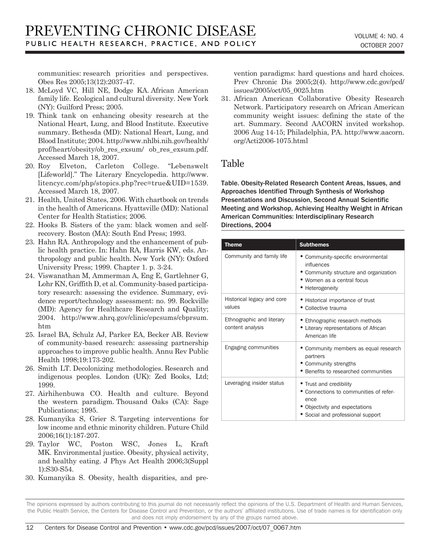communities: research priorities and perspectives. Obes Res 2005;13(12):2037-47.

- 18. McLoyd VC, Hill NE, Dodge KA. African American family life. Ecological and cultural diversity. New York (NY): Guilford Press; 2005.
- 19. Think tank on enhancing obesity research at the National Heart, Lung, and Blood Institute. Executive summary. Bethesda (MD): National Heart, Lung, and Blood Institute; 2004. http://www.nhlbi.nih.gov/health/ prof/heart/obesity/ob\_res\_exsum/ ob\_res\_exsum.pdf. Accessed March 18, 2007.
- 20. Roy Elveton, Carleton College. "Lebenswelt [Lifeworld]." The Literary Encyclopedia. http://www. litencyc.com/php/stopics.php?rec=true&UID=1539. Accessed March 18, 2007.
- 21. Health, United States, 2006. With chartbook on trends in the health of Americans. Hyattsville (MD): National Center for Health Statistics; 2006.
- 22. Hooks B. Sisters of the yam: black women and selfrecovery. Boston (MA): South End Press; 1993.
- 23. Hahn RA. Anthropology and the enhancement of public health practice. In: Hahn RA, Harris KW, eds. Anthropology and public health. New York (NY): Oxford University Press; 1999. Chapter 1. p. 3-24.
- 24. Viswanathan M, Ammerman A, Eng E, Gartlehner G, Lohr KN, Griffith D, et al. Community-based participatory research: assessing the evidence. Summary, evidence report/technology assessment: no. 99. Rockville (MD): Agency for Healthcare Research and Quality; 2004. http://www.ahrq.gov/clinic/epcsums/cbprsum. htm
- 25. Israel BA, Schulz AJ, Parker EA, Becker AB. Review of community-based research: assessing partnership approaches to improve public health. Annu Rev Public Health 1998;19:173-202.
- 26. Smith LT. Decolonizing methodologies. Research and indigenous peoples. London (UK): Zed Books, Ltd; 1999.
- 27. Airhihenbuwa CO. Health and culture. Beyond the western paradigm. Thousand Oaks (CA): Sage Publications; 1995.
- 28. Kumanyika S, Grier S. Targeting interventions for low income and ethnic minority children. Future Child 2006;16(1):187-207.
- 29. Taylor WC, Poston WSC, Jones L, Kraft MK. Environmental justice. Obesity, physical activity, and healthy eating. J Phys Act Health 2006;3(Suppl 1):S30-S54.
- 30. Kumanyika S. Obesity, health disparities, and pre-

vention paradigms: hard questions and hard choices. Prev Chronic Dis 2005;2(4). http://www.cdc.gov/pcd/ issues/2005/oct/05\_0025.htm

31. African American Collaborative Obesity Research Network. Participatory research on African American community weight issues: defining the state of the art. Summary. Second AACORN invited workshop. 2006 Aug 14-15; Philadelphia, PA. http://www.aacorn. org/Acti2006-1075.html

# Table

Table. Obesity-Related Research Content Areas, Issues, and Approaches Identified Through Synthesis of Workshop Presentations and Discussion, Second Annual Scientific Meeting and Workshop, Achieving Healthy Weight in African American Communities: Interdisciplinary Research Directions, 2004

| <b>Theme</b>                                  | <b>Subthemes</b>                                                                                                                                 |
|-----------------------------------------------|--------------------------------------------------------------------------------------------------------------------------------------------------|
| Community and family life                     | • Community-specific environmental<br>influences<br>• Community structure and organization<br>• Women as a central focus<br>• Heterogeneity      |
| Historical legacy and core<br>values          | • Historical importance of trust<br>• Collective trauma                                                                                          |
| Ethnographic and literary<br>content analysis | • Ethnographic research methods<br>• Literary representations of African<br>American life                                                        |
| Engaging communities                          | • Community members as equal research<br>partners<br>• Community strengths<br>• Benefits to researched communities                               |
| Leveraging insider status                     | • Trust and credibility<br>• Connections to communities of refer-<br>ence<br>• Objectivity and expectations<br>• Social and professional support |

The opinions expressed by authors contributing to this journal do not necessarily reflect the opinions of the U.S. Department of Health and Human Services, the Public Health Service, the Centers for Disease Control and Prevention, or the authors' affiliated institutions. Use of trade names is for identification only and does not imply endorsement by any of the groups named above.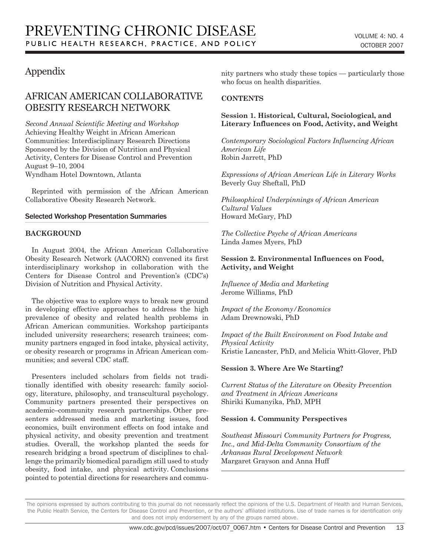# Appendix

# AFRICAN AMERICAN COLLABORATIVE OBESITY RESEARCH NETWORK

*Second Annual Scientific Meeting and Workshop* Achieving Healthy Weight in African American Communities: Interdisciplinary Research Directions Sponsored by the Division of Nutrition and Physical Activity, Centers for Disease Control and Prevention August 9–10, 2004 Wyndham Hotel Downtown, Atlanta

Reprinted with permission of the African American Collaborative Obesity Research Network.

#### Selected Workshop Presentation Summaries

#### **BACKGROUND**

In August 2004, the African American Collaborative Obesity Research Network (AACORN) convened its first interdisciplinary workshop in collaboration with the Centers for Disease Control and Prevention's (CDC's) Division of Nutrition and Physical Activity.

The objective was to explore ways to break new ground in developing effective approaches to address the high prevalence of obesity and related health problems in African American communities. Workshop participants included university researchers; research trainees; community partners engaged in food intake, physical activity, or obesity research or programs in African American communities; and several CDC staff.

Presenters included scholars from fields not traditionally identified with obesity research: family sociology, literature, philosophy, and transcultural psychology. Community partners presented their perspectives on academic–community research partnerships. Other presenters addressed media and marketing issues, food economics, built environment effects on food intake and physical activity, and obesity prevention and treatment studies. Overall, the workshop planted the seeds for research bridging a broad spectrum of disciplines to challenge the primarily biomedical paradigm still used to study obesity, food intake, and physical activity. Conclusions pointed to potential directions for researchers and community partners who study these topics — particularly those who focus on health disparities.

#### **CONTENTS**

#### **Session 1. Historical, Cultural, Sociological, and Literary Influences on Food, Activity, and Weight**

*Contemporary Sociological Factors Influencing African American Life* Robin Jarrett, PhD

*Expressions of African American Life in Literary Works* Beverly Guy Sheftall, PhD

*Philosophical Underpinnings of African American Cultural Values* Howard McGary, PhD

*The Collective Psyche of African Americans* Linda James Myers, PhD

#### **Session 2. Environmental Influences on Food, Activity, and Weight**

*Influence of Media and Marketing* Jerome Williams, PhD

*Impact of the Economy/Economics* Adam Drewnowski, PhD

*Impact of the Built Environment on Food Intake and Physical Activity* Kristie Lancaster, PhD, and Melicia Whitt-Glover, PhD

#### **Session 3. Where Are We Starting?**

*Current Status of the Literature on Obesity Prevention and Treatment in African Americans* Shiriki Kumanyika, PhD, MPH

#### **Session 4. Community Perspectives**

*Southeast Missouri Community Partners for Progress, Inc., and Mid-Delta Community Consortium of the Arkansas Rural Development Network* Margaret Grayson and Anna Huff

The opinions expressed by authors contributing to this journal do not necessarily reflect the opinions of the U.S. Department of Health and Human Services, the Public Health Service, the Centers for Disease Control and Prevention, or the authors' affiliated institutions. Use of trade names is for identification only and does not imply endorsement by any of the groups named above.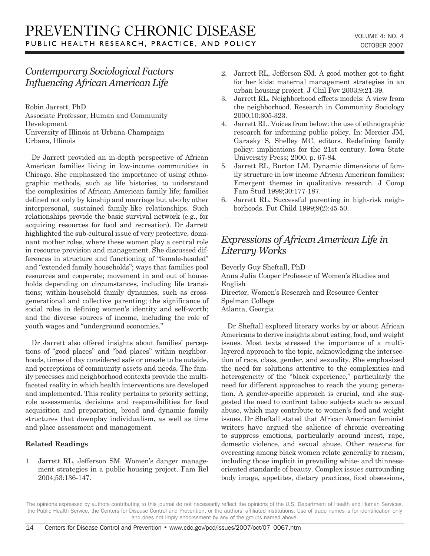# *Contemporary Sociological Factors Influencing African American Life*

Robin Jarrett, PhD Associate Professor, Human and Community Development University of Illinois at Urbana-Champaign Urbana, Illinois

Dr Jarrett provided an in-depth perspective of African American families living in low-income communities in Chicago. She emphasized the importance of using ethnographic methods, such as life histories, to understand the complexities of African American family life; families defined not only by kinship and marriage but also by other interpersonal, sustained family-like relationships. Such relationships provide the basic survival network (e.g., for acquiring resources for food and recreation). Dr Jarrett highlighted the sub-cultural issue of very protective, dominant mother roles, where these women play a central role in resource provision and management. She discussed differences in structure and functioning of "female-headed" and "extended family households"; ways that families pool resources and cooperate; movement in and out of households depending on circumstances, including life transitions; within-household family dynamics, such as crossgenerational and collective parenting; the significance of social roles in defining women's identity and self-worth; and the diverse sources of income, including the role of youth wages and "underground economies."

Dr Jarrett also offered insights about families' perceptions of "good places" and "bad places" within neighborhoods, times of day considered safe or unsafe to be outside, and perceptions of community assets and needs. The family processes and neighborhood contexts provide the multifaceted reality in which health interventions are developed and implemented. This reality pertains to priority setting, role assessments, decisions and responsibilities for food acquisition and preparation, broad and dynamic family structures that downplay individualism, as well as time and place assessment and management.

### **Related Readings**

1. Jarrett RL, Jefferson SM. Women's danger management strategies in a public housing project. Fam Rel 2004;53:136-147.

- 2. Jarrett RL, Jefferson SM. A good mother got to fight for her kids: maternal management strategies in an urban housing project. J Chil Pov 2003;9:21-39.
- 3. Jarrett RL. Neighborhood effects models: A view from the neighborhood. Research in Community Sociology 2000;10:305-323.
- 4. Jarrett RL. Voices from below: the use of ethnographic research for informing public policy. In: Mercier JM, Garasky S, Shelley MC, editors. Redefining family policy: implications for the 21st century. Iowa State University Press; 2000. p. 67-84.
- 5. Jarrett RL, Burton LM. Dynamic dimensions of family structure in low income African American families: Emergent themes in qualitative research. J Comp Fam Stud 1999;30:177-187.
- 6. Jarrett RL. Successful parenting in high-risk neighborhoods. Fut Child 1999;9(2):45-50.

# *Expressions of African American Life in Literary Works*

Beverly Guy Sheftall, PhD Anna Julia Cooper Professor of Women's Studies and English Director, Women's Research and Resource Center Spelman College

Atlanta, Georgia

Dr Sheftall explored literary works by or about African Americans to derive insights about eating, food, and weight issues. Most texts stressed the importance of a multilayered approach to the topic, acknowledging the intersection of race, class, gender, and sexuality. She emphasized the need for solutions attentive to the complexities and heterogeneity of the "black experience," particularly the need for different approaches to reach the young generation. A gender-specific approach is crucial, and she suggested the need to confront taboo subjects such as sexual abuse, which may contribute to women's food and weight issues. Dr Sheftall stated that African American feminist writers have argued the salience of chronic overeating to suppress emotions, particularly around incest, rape, domestic violence, and sexual abuse. Other reasons for overeating among black women relate generally to racism, including those implicit in prevailing white- and thinnessoriented standards of beauty. Complex issues surrounding body image, appetites, dietary practices, food obsessions,

The opinions expressed by authors contributing to this journal do not necessarily reflect the opinions of the U.S. Department of Health and Human Services, the Public Health Service, the Centers for Disease Control and Prevention, or the authors' affiliated institutions. Use of trade names is for identification only and does not imply endorsement by any of the groups named above.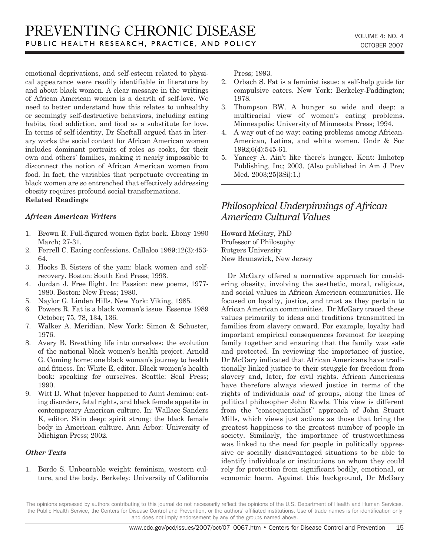emotional deprivations, and self-esteem related to physical appearance were readily identifiable in literature by and about black women. A clear message in the writings of African American women is a dearth of self-love. We need to better understand how this relates to unhealthy or seemingly self-destructive behaviors, including eating habits, food addiction, and food as a substitute for love. In terms of self-identity, Dr Sheftall argued that in literary works the social context for African American women includes dominant portraits of roles as cooks, for their own and others' families, making it nearly impossible to disconnect the notion of African American women from food. In fact, the variables that perpetuate overeating in black women are so entrenched that effectively addressing obesity requires profound social transformations. **Related Readings**

#### *African American Writers*

- 1. Brown R. Full-figured women fight back. Ebony 1990 March; 27-31.
- 2. Ferrell C. Eating confessions. Callaloo 1989;12(3):453- 64.
- 3. Hooks B. Sisters of the yam: black women and selfrecovery. Boston: South End Press; 1993.
- 4. Jordan J. Free flight. In: Passion: new poems, 1977- 1980. Boston: New Press; 1980.
- 5. Naylor G. Linden Hills. New York: Viking, 1985.
- 6. Powers R. Fat is a black woman's issue. Essence 1989 October; 75, 78, 134, 136.
- 7. Walker A. Meridian. New York: Simon & Schuster, 1976.
- 8. Avery B. Breathing life into ourselves: the evolution of the national black women's health project. Arnold G. Coming home: one black woman's journey to health and fitness. In: White E, editor. Black women's health book: speaking for ourselves. Seattle: Seal Press; 1990.
- 9. Witt D. What (n)ever happened to Aunt Jemima: eating disorders, fetal rights, and black female appetite in contemporary American culture. In: Wallace-Sanders K, editor. Skin deep: spirit strong: the black female body in American culture. Ann Arbor: University of Michigan Press; 2002.

### *Other Texts*

1. Bordo S. Unbearable weight: feminism, western culture, and the body. Berkeley: University of California Press; 1993.

- 2. Orbach S. Fat is a feminist issue: a self-help guide for compulsive eaters. New York: Berkeley-Paddington; 1978.
- 3. Thompson BW. A hunger so wide and deep: a multiracial view of women's eating problems. Minneapolis: University of Minnesota Press; 1994.
- 4. A way out of no way: eating problems among African-American, Latina, and white women. Gndr & Soc 1992;6(4):545-61.
- 5. Yancey A. Ain't like there's hunger. Kent: Imhotep Publishing, Inc; 2003. (Also published in Am J Prev Med. 2003;25[3Si]:1.)

# *Philosophical Underpinnings of African American Cultural Values*

Howard McGary, PhD Professor of Philosophy Rutgers University New Brunswick, New Jersey

Dr McGary offered a normative approach for considering obesity, involving the aesthetic, moral, religious, and social values in African American communities. He focused on loyalty, justice, and trust as they pertain to African American communities. Dr McGary traced these values primarily to ideas and traditions transmitted in families from slavery onward. For example, loyalty had important empirical consequences foremost for keeping family together and ensuring that the family was safe and protected. In reviewing the importance of justice, Dr McGary indicated that African Americans have traditionally linked justice to their struggle for freedom from slavery and, later, for civil rights. African Americans have therefore always viewed justice in terms of the rights of individuals *and* of groups, along the lines of political philosopher John Rawls. This view is different from the "consequentialist" approach of John Stuart Mills, which views just actions as those that bring the greatest happiness to the greatest number of people in society. Similarly, the importance of trustworthiness was linked to the need for people in politically oppressive or socially disadvantaged situations to be able to identify individuals or institutions on whom they could rely for protection from significant bodily, emotional, or economic harm. Against this background, Dr McGary

The opinions expressed by authors contributing to this journal do not necessarily reflect the opinions of the U.S. Department of Health and Human Services, the Public Health Service, the Centers for Disease Control and Prevention, or the authors' affiliated institutions. Use of trade names is for identification only and does not imply endorsement by any of the groups named above.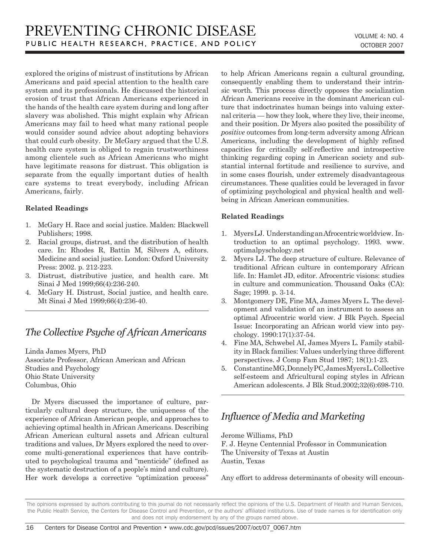explored the origins of mistrust of institutions by African Americans and paid special attention to the health care system and its professionals. He discussed the historical erosion of trust that African Americans experienced in the hands of the health care system during and long after slavery was abolished. This might explain why African Americans may fail to heed what many rational people would consider sound advice about adopting behaviors that could curb obesity. Dr McGary argued that the U.S. health care system is obliged to regain trustworthiness among clientele such as African Americans who might have legitimate reasons for distrust. This obligation is separate from the equally important duties of health care systems to treat everybody, including African Americans, fairly.

#### **Related Readings**

- 1. McGary H. Race and social justice. Malden: Blackwell Publishers; 1998.
- 2. Racial groups, distrust, and the distribution of health care. In: Rhodes R, Battin M, Silvers A, editors. Medicine and social justice. London: Oxford University Press: 2002. p. 212-223.
- 3. Distrust, distributive justice, and health care. Mt Sinai J Med 1999;66(4):236-240.
- 4. McGary H. Distrust, Social justice, and health care. Mt Sinai J Med 1999;66(4):236-40.

# *The Collective Psyche of African Americans*

Linda James Myers, PhD Associate Professor, African American and African Studies and Psychology Ohio State University Columbus, Ohio

Dr Myers discussed the importance of culture, particularly cultural deep structure, the uniqueness of the experience of African American people, and approaches to achieving optimal health in African Americans. Describing African American cultural assets and African cultural traditions and values, Dr Myers explored the need to overcome multi-generational experiences that have contributed to psychological trauma and "menticide" (defined as the systematic destruction of a people's mind and culture). Her work develops a corrective "optimization process" to help African Americans regain a cultural grounding, consequently enabling them to understand their intrinsic worth. This process directly opposes the socialization African Americans receive in the dominant American culture that indoctrinates human beings into valuing external criteria — how they look, where they live, their income, and their position. Dr Myers also posited the possibility of *positive* outcomes from long-term adversity among African Americans, including the development of highly refined capacities for critically self-reflective and introspective thinking regarding coping in American society and substantial internal fortitude and resilience to survive, and in some cases flourish, under extremely disadvantageous circumstances. These qualities could be leveraged in favor of optimizing psychological and physical health and wellbeing in African American communities.

#### **Related Readings**

- 1. Myers LJ. Understanding an Afrocentric worldview. Introduction to an optimal psychology. 1993. www. optimalpyschology.net
- 2. Myers LJ. The deep structure of culture. Relevance of traditional African culture in contemporary African life. In: Hamlet JD, editor. Afrocentric visions: studies in culture and communication. Thousand Oaks (CA): Sage; 1999. p. 3-14.
- 3. Montgomery DE, Fine MA, James Myers L. The development and validation of an instrument to assess an optimal Afrocentric world view. J Blk Psych. Special Issue: Incorporating an African world view into psychology. 1990:17(1):37-54.
- 4. Fine MA, Schwebel AI, James Myers L. Family stability in Black families: Values underlying three different perspectives. J Comp Fam Stud 1987; 18(1):1-23.
- 5. Constantine MG, Donnely PC, James Myers L. Collective self-esteem and Africultural coping styles in African American adolescents. J Blk Stud.2002;32(6):698-710.

# *Influence of Media and Marketing*

Jerome Williams, PhD

F. J. Heyne Centennial Professor in Communication The University of Texas at Austin Austin, Texas

Any effort to address determinants of obesity will encoun-

The opinions expressed by authors contributing to this journal do not necessarily reflect the opinions of the U.S. Department of Health and Human Services, the Public Health Service, the Centers for Disease Control and Prevention, or the authors' affiliated institutions. Use of trade names is for identification only and does not imply endorsement by any of the groups named above.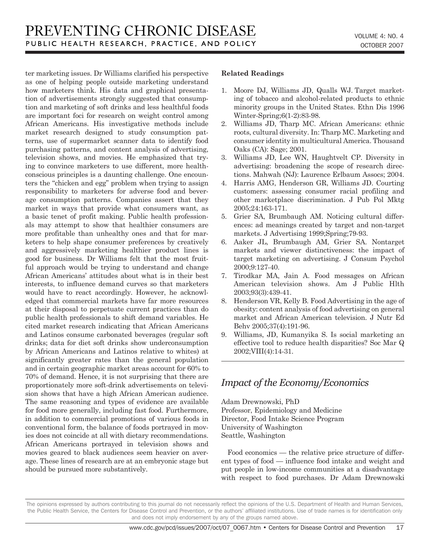ter marketing issues. Dr Williams clarified his perspective as one of helping people outside marketing understand how marketers think. His data and graphical presentation of advertisements strongly suggested that consumption and marketing of soft drinks and less healthful foods are important foci for research on weight control among African Americans. His investigative methods include market research designed to study consumption patterns, use of supermarket scanner data to identify food purchasing patterns, and content analysis of advertising, television shows, and movies. He emphasized that trying to convince marketers to use different, more healthconscious principles is a daunting challenge. One encounters the "chicken and egg" problem when trying to assign responsibility to marketers for adverse food and beverage consumption patterns. Companies assert that they market in ways that provide what consumers want, as a basic tenet of profit making. Public health professionals may attempt to show that healthier consumers are more profitable than unhealthy ones and that for marketers to help shape consumer preferences by creatively and aggressively marketing healthier product lines is good for business. Dr Williams felt that the most fruitful approach would be trying to understand and change African Americans' attitudes about what is in their best interests, to influence demand curves so that marketers would have to react accordingly. However, he acknowledged that commercial markets have far more resources at their disposal to perpetuate current practices than do public health professionals to shift demand variables. He cited market research indicating that African Americans and Latinos consume carbonated beverages (regular soft drinks; data for diet soft drinks show underconsumption by African Americans and Latinos relative to whites) at significantly greater rates than the general population and in certain geographic market areas account for 60% to 70% of demand. Hence, it is not surprising that there are proportionately more soft-drink advertisements on television shows that have a high African American audience. The same reasoning and types of evidence are available for food more generally, including fast food. Furthermore, in addition to commercial promotions of various foods in conventional form, the balance of foods portrayed in movies does not coincide at all with dietary recommendations. African Americans portrayed in television shows and movies geared to black audiences seem heavier on average. These lines of research are at an embryonic stage but should be pursued more substantively.

### **Related Readings**

- 1. Moore DJ, Williams JD, Qualls WJ. Target marketing of tobacco and alcohol-related products to ethnic minority groups in the United States. Ethn Dis 1996 Winter-Spring;6(1-2):83-98.
- 2. Williams JD, Tharp MC. African Americans: ethnic roots, cultural diversity. In: Tharp MC. Marketing and consumer identity in multicultural America. Thousand Oaks (CA): Sage; 2001.
- 3. Williams JD, Lee WN, Haughtvelt CP. Diversity in advertising: broadening the scope of research directions. Mahwah (NJ): Laurence Erlbaum Assocs; 2004.
- 4. Harris AMG, Henderson GR, Williams JD. Courting customers: assessing consumer racial profiling and other marketplace discrimination. J Pub Pol Mktg 2005;24:163-171.
- 5. Grier SA, Brumbaugh AM. Noticing cultural differences: ad meanings created by target and non-target markets. J Advertising 1999;Spring;79-93.
- 6. Aaker JL, Brumbaugh AM, Grier SA. Nontarget markets and viewer distinctiveness: the impact of target marketing on advertising. J Consum Psychol 2000;9:127-40.
- 7. Tirodkar MA, Jain A. Food messages on African American television shows. Am J Public Hlth 2003;93(3):439-41.
- 8. Henderson VR, Kelly B. Food Advertising in the age of obesity: content analysis of food advertising on general market and African American television. J Nutr Ed Behv 2005;37(4):191-96.
- 9. Williams, JD, Kumanyika S. Is social marketing an effective tool to reduce health disparities? Soc Mar Q 2002;VIII(4):14-31.

# *Impact of the Economy/Economics*

Adam Drewnowski, PhD Professor, Epidemiology and Medicine Director, Food Intake Science Program University of Washington Seattle, Washington

Food economics — the relative price structure of different types of food — influence food intake and weight and put people in low-income communities at a disadvantage with respect to food purchases. Dr Adam Drewnowski

The opinions expressed by authors contributing to this journal do not necessarily reflect the opinions of the U.S. Department of Health and Human Services, the Public Health Service, the Centers for Disease Control and Prevention, or the authors' affiliated institutions. Use of trade names is for identification only and does not imply endorsement by any of the groups named above.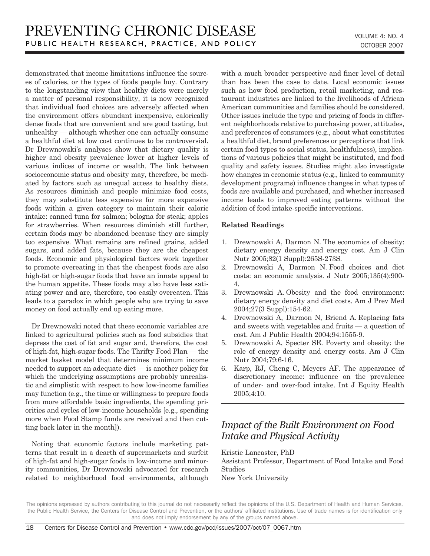demonstrated that income limitations influence the sources of calories, or the types of foods people buy. Contrary to the longstanding view that healthy diets were merely a matter of personal responsibility, it is now recognized that individual food choices are adversely affected when the environment offers abundant inexpensive, calorically dense foods that are convenient and are good tasting, but unhealthy — although whether one can actually consume a healthful diet at low cost continues to be controversial. Dr Drewnowski's analyses show that dietary quality is higher and obesity prevalence lower at higher levels of various indices of income or wealth. The link between socioeconomic status and obesity may, therefore, be mediated by factors such as unequal access to healthy diets. As resources diminish and people minimize food costs, they may substitute less expensive for more expensive foods within a given category to maintain their caloric intake: canned tuna for salmon; bologna for steak; apples for strawberries. When resources diminish still further, certain foods may be abandoned because they are simply too expensive. What remains are refined grains, added sugars, and added fats, because they are the cheapest foods. Economic and physiological factors work together to promote overeating in that the cheapest foods are also high-fat or high-sugar foods that have an innate appeal to the human appetite. These foods may also have less satiating power and are, therefore, too easily overeaten. This leads to a paradox in which people who are trying to save money on food actually end up eating more.

Dr Drewnowski noted that these economic variables are linked to agricultural policies such as food subsidies that depress the cost of fat and sugar and, therefore, the cost of high-fat, high-sugar foods. The Thrifty Food Plan — the market basket model that determines minimum income needed to support an adequate diet — is another policy for which the underlying assumptions are probably unrealistic and simplistic with respect to how low-income families may function (e.g., the time or willingness to prepare foods from more affordable basic ingredients, the spending priorities and cycles of low-income households [e.g., spending more when Food Stamp funds are received and then cutting back later in the month]).

Noting that economic factors include marketing patterns that result in a dearth of supermarkets and surfeit of high-fat and high-sugar foods in low-income and minority communities, Dr Drewnowski advocated for research related to neighborhood food environments, although with a much broader perspective and finer level of detail than has been the case to date. Local economic issues such as how food production, retail marketing, and restaurant industries are linked to the livelihoods of African American communities and families should be considered. Other issues include the type and pricing of foods in different neighborhoods relative to purchasing power, attitudes, and preferences of consumers (e.g., about what constitutes a healthful diet, brand preferences or perceptions that link certain food types to social status, healthfulness), implications of various policies that might be instituted, and food quality and safety issues. Studies might also investigate how changes in economic status (e.g., linked to community development programs) influence changes in what types of foods are available and purchased, and whether increased income leads to improved eating patterns without the addition of food intake-specific interventions.

#### **Related Readings**

- 1. Drewnowski A, Darmon N. The economics of obesity: dietary energy density and energy cost. Am J Clin Nutr 2005;82(1 Suppl):265S-273S.
- 2. Drewnowski A, Darmon N. Food choices and diet costs: an economic analysis. J Nutr 2005;135(4):900- 4.
- 3. Drewnowski A. Obesity and the food environment: dietary energy density and diet costs. Am J Prev Med 2004;27(3 Suppl):154-62.
- 4. Drewnowski A, Darmon N, Briend A. Replacing fats and sweets with vegetables and fruits — a question of cost. Am J Public Health 2004;94:1555-9.
- 5. Drewnowski A, Specter SE. Poverty and obesity: the role of energy density and energy costs. Am J Clin Nutr 2004;79:6-16.
- 6. Karp, RJ, Cheng C, Meyers AF. The appearance of discretionary income: influence on the prevalence of under- and over-food intake. Int J Equity Health 2005;4:10.

# *Impact of the Built Environment on Food Intake and Physical Activity*

Kristie Lancaster, PhD Assistant Professor, Department of Food Intake and Food Studies

New York University

The opinions expressed by authors contributing to this journal do not necessarily reflect the opinions of the U.S. Department of Health and Human Services, the Public Health Service, the Centers for Disease Control and Prevention, or the authors' affiliated institutions. Use of trade names is for identification only and does not imply endorsement by any of the groups named above.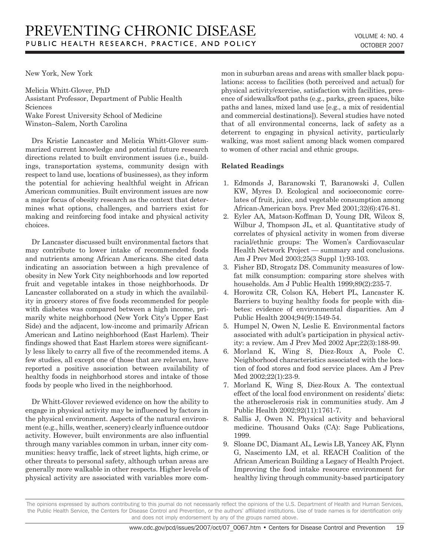New York, New York

Melicia Whitt-Glover, PhD Assistant Professor, Department of Public Health Sciences Wake Forest University School of Medicine Winston–Salem, North Carolina

Drs Kristie Lancaster and Melicia Whitt-Glover summarized current knowledge and potential future research directions related to built environment issues (i.e., buildings, transportation systems, community design with respect to land use, locations of businesses), as they inform the potential for achieving healthful weight in African American communities. Built environment issues are now a major focus of obesity research as the context that determines what options, challenges, and barriers exist for making and reinforcing food intake and physical activity choices.

Dr Lancaster discussed built environmental factors that may contribute to lower intake of recommended foods and nutrients among African Americans. She cited data indicating an association between a high prevalence of obesity in New York City neighborhoods and low reported fruit and vegetable intakes in those neighborhoods. Dr Lancaster collaborated on a study in which the availability in grocery stores of five foods recommended for people with diabetes was compared between a high income, primarily white neighborhood (New York City's Upper East Side) and the adjacent, low-income and primarily African American and Latino neighborhood (East Harlem). Their findings showed that East Harlem stores were significantly less likely to carry all five of the recommended items. A few studies, all except one of those that are relevant, have reported a positive association between availability of healthy foods in neighborhood stores and intake of those foods by people who lived in the neighborhood.

Dr Whitt-Glover reviewed evidence on how the ability to engage in physical activity may be influenced by factors in the physical environment. Aspects of the natural environment (e.g., hills, weather, scenery) clearly influence outdoor activity. However, built environments are also influential through many variables common in urban, inner city communities: heavy traffic, lack of street lights, high crime, or other threats to personal safety, although urban areas are generally more walkable in other respects. Higher levels of physical activity are associated with variables more common in suburban areas and areas with smaller black populations: access to facilities (both perceived and actual) for physical activity/exercise, satisfaction with facilities, presence of sidewalks/foot paths (e.g., parks, green spaces, bike paths and lanes, mixed land use [e.g., a mix of residential and commercial destinations]). Several studies have noted that of all environmental concerns, lack of safety as a deterrent to engaging in physical activity, particularly walking, was most salient among black women compared to women of other racial and ethnic groups.

#### **Related Readings**

- 1. Edmonds J, Baranowski T, Baranowski J, Cullen KW, Myres D. Ecological and socioeconomic correlates of fruit, juice, and vegetable consumption among African-American boys. Prev Med 2001;32(6):476-81.
- 2. Eyler AA, Matson-Koffman D, Young DR, Wilcox S, Wilbur J, Thompson JL, et al. Quantitative study of correlates of physical activity in women from diverse racial/ethnic groups: The Women's Cardiovascular Health Network Project — summary and conclusions. Am J Prev Med 2003;25(3 Suppl 1):93-103.
- 3. Fisher BD, Strogatz DS. Community measures of lowfat milk consumption: comparing store shelves with households. Am J Public Health 1999;89(2):235-7.
- 4. Horowitz CR, Colson KA, Hebert PL, Lancaster K. Barriers to buying healthy foods for people with diabetes: evidence of environmental disparities. Am J Public Health 2004;94(9):1549-54.
- 5. Humpel N, Owen N, Leslie E. Environmental factors associated with adult's participation in physical activity: a review. Am J Prev Med 2002 Apr;22(3):188-99.
- 6. Morland K, Wing S, Diez-Roux A, Poole C. Neighborhood characteristics associated with the location of food stores and food service places. Am J Prev Med 2002;22(1):23-9.
- 7. Morland K, Wing S, Diez-Roux A. The contextual effect of the local food environment on residents' diets: the atherosclerosis risk in communities study. Am J Public Health 2002;92(11):1761-7.
- 8. Sallis J, Owen N. Physical activity and behavioral medicine. Thousand Oaks (CA): Sage Publications, 1999.
- 9. Sloane DC, Diamant AL, Lewis LB, Yancey AK, Flynn G, Nascimento LM, et al. REACH Coalition of the African American Building a Legacy of Health Project. Improving the food intake resource environment for healthy living through community-based participatory

The opinions expressed by authors contributing to this journal do not necessarily reflect the opinions of the U.S. Department of Health and Human Services, the Public Health Service, the Centers for Disease Control and Prevention, or the authors' affiliated institutions. Use of trade names is for identification only and does not imply endorsement by any of the groups named above.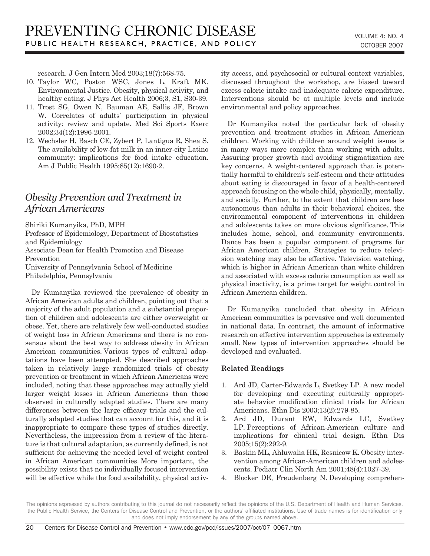research. J Gen Intern Med 2003;18(7):568-75.

- 10. Taylor WC, Poston WSC, Jones L, Kraft MK. Environmental Justice. Obesity, physical activity, and healthy eating. J Phys Act Health 2006;3, S1, S30-39.
- 11. Trost SG, Owen N, Bauman AE, Sallis JF, Brown W. Correlates of adults' participation in physical activity: review and update. Med Sci Sports Exerc 2002;34(12):1996-2001.
- 12. Wechsler H, Basch CE, Zybert P, Lantigua R, Shea S. The availability of low-fat milk in an inner-city Latino community: implications for food intake education. Am J Public Health 1995;85(12):1690-2.

# *Obesity Prevention and Treatment in African Americans*

Shiriki Kumanyika, PhD, MPH Professor of Epidemiology, Department of Biostatistics and Epidemiology Associate Dean for Health Promotion and Disease Prevention University of Pennsylvania School of Medicine Philadelphia, Pennsylvania

Dr Kumanyika reviewed the prevalence of obesity in African American adults and children, pointing out that a majority of the adult population and a substantial proportion of children and adolescents are either overweight or obese. Yet, there are relatively few well-conducted studies of weight loss in African Americans and there is no consensus about the best way to address obesity in African American communities. Various types of cultural adaptations have been attempted. She described approaches taken in relatively large randomized trials of obesity prevention or treatment in which African Americans were included, noting that these approaches may actually yield larger weight losses in African Americans than those observed in culturally adapted studies. There are many differences between the large efficacy trials and the culturally adapted studies that can account for this, and it is inappropriate to compare these types of studies directly. Nevertheless, the impression from a review of the literature is that cultural adaptation, as currently defined, is not sufficient for achieving the needed level of weight control in African American communities. More important, the possibility exists that no individually focused intervention will be effective while the food availability, physical activity access, and psychosocial or cultural context variables, discussed throughout the workshop, are biased toward excess caloric intake and inadequate caloric expenditure. Interventions should be at multiple levels and include environmental and policy approaches.

Dr Kumanyika noted the particular lack of obesity prevention and treatment studies in African American children. Working with children around weight issues is in many ways more complex than working with adults. Assuring proper growth and avoiding stigmatization are key concerns. A weight-centered approach that is potentially harmful to children's self-esteem and their attitudes about eating is discouraged in favor of a health-centered approach focusing on the whole child, physically, mentally, and socially. Further, to the extent that children are less autonomous than adults in their behavioral choices, the environmental component of interventions in children and adolescents takes on more obvious significance. This includes home, school, and community environments. Dance has been a popular component of programs for African American children. Strategies to reduce television watching may also be effective. Television watching, which is higher in African American than white children and associated with excess calorie consumption as well as physical inactivity, is a prime target for weight control in African American children.

Dr Kumanyika concluded that obesity in African American communities is pervasive and well documented in national data. In contrast, the amount of informative research on effective intervention approaches is extremely small. New types of intervention approaches should be developed and evaluated.

#### **Related Readings**

- 1. Ard JD, Carter-Edwards L, Svetkey LP. A new model for developing and executing culturally appropriate behavior modification clinical trials for African Americans. Ethn Dis 2003;13(2):279-85.
- 2. Ard JD, Durant RW, Edwards LC, Svetkey LP. Perceptions of African-American culture and implications for clinical trial design. Ethn Dis 2005;15(2):292-9.
- 3. Baskin ML, Ahluwalia HK, Resnicow K. Obesity intervention among African-American children and adolescents. Pediatr Clin North Am 2001;48(4):1027-39.
- 4. Blocker DE, Freudenberg N. Developing comprehen-

The opinions expressed by authors contributing to this journal do not necessarily reflect the opinions of the U.S. Department of Health and Human Services, the Public Health Service, the Centers for Disease Control and Prevention, or the authors' affiliated institutions. Use of trade names is for identification only and does not imply endorsement by any of the groups named above.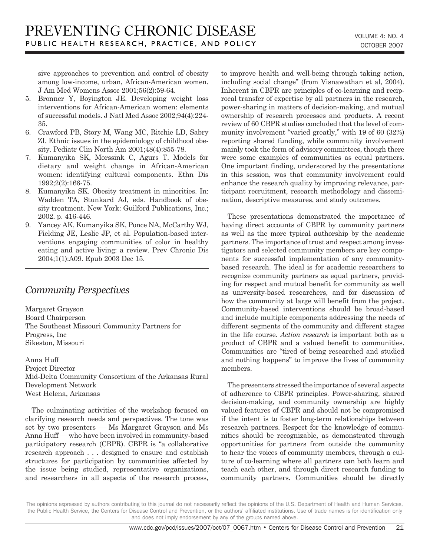sive approaches to prevention and control of obesity among low-income, urban, African-American women. J Am Med Womens Assoc 2001;56(2):59-64.

- 5. Bronner Y, Boyington JE. Developing weight loss interventions for African-American women: elements of successful models. J Natl Med Assoc 2002;94(4):224- 35.
- 6. Crawford PB, Story M, Wang MC, Ritchie LD, Sabry ZI. Ethnic issues in the epidemiology of childhood obesity. Pediatr Clin North Am 2001;48(4):855-78.
- 7. Kumanyika SK, Morssink C, Agurs T. Models for dietary and weight change in African-American women: identifying cultural components. Ethn Dis 1992;2(2):166-75.
- 8. Kumanyika SK. Obesity treatment in minorities. In: Wadden TA, Stunkard AJ, eds. Handbook of obesity treatment. New York: Guilford Publications, Inc.; 2002. p. 416-446.
- 9. Yancey AK, Kumanyika SK, Ponce NA, McCarthy WJ, Fielding JE, Leslie JP, et al. Population-based interventions engaging communities of color in healthy eating and active living: a review. Prev Chronic Dis 2004;1(1):A09. Epub 2003 Dec 15.

### *Community Perspectives*

Margaret Grayson Board Chairperson The Southeast Missouri Community Partners for Progress, Inc Sikeston, Missouri

Anna Huff Project Director Mid-Delta Community Consortium of the Arkansas Rural Development Network West Helena, Arkansas

The culminating activities of the workshop focused on clarifying research needs and perspectives. The tone was set by two presenters — Ms Margaret Grayson and Ms Anna Huff — who have been involved in community-based participatory research (CBPR). CBPR is "a collaborative research approach . . . designed to ensure and establish structures for participation by communities affected by the issue being studied, representative organizations, and researchers in all aspects of the research process, to improve health and well-being through taking action, including social change" (from Visnawathan et al, 2004). Inherent in CBPR are principles of co-learning and reciprocal transfer of expertise by all partners in the research, power-sharing in matters of decision-making, and mutual ownership of research processes and products. A recent review of 60 CBPR studies concluded that the level of community involvement "varied greatly," with 19 of 60 (32%) reporting shared funding, while community involvement mainly took the form of advisory committees, though there were some examples of communities as equal partners. One important finding, underscored by the presentations in this session, was that community involvement could enhance the research quality by improving relevance, participant recruitment, research methodology and dissemination, descriptive measures, and study outcomes.

These presentations demonstrated the importance of having direct accounts of CBPR by community partners as well as the more typical authorship by the academic partners. The importance of trust and respect among investigators and selected community members are key components for successful implementation of any communitybased research. The ideal is for academic researchers to recognize community partners as equal partners, providing for respect and mutual benefit for community as well as university-based researchers, and for discussion of how the community at large will benefit from the project. Community-based interventions should be broad-based and include multiple components addressing the needs of different segments of the community and different stages in the life course. *Action research* is important both as a product of CBPR and a valued benefit to communities. Communities are "tired of being researched and studied and nothing happens" to improve the lives of community members.

The presenters stressed the importance of several aspects of adherence to CBPR principles. Power-sharing, shared decision-making, and community ownership are highly valued features of CBPR and should not be compromised if the intent is to foster long-term relationships between research partners. Respect for the knowledge of communities should be recognizable, as demonstrated through opportunities for partners from outside the community to hear the voices of community members, through a culture of co-learning where all partners can both learn and teach each other, and through direct research funding to community partners. Communities should be directly

The opinions expressed by authors contributing to this journal do not necessarily reflect the opinions of the U.S. Department of Health and Human Services, the Public Health Service, the Centers for Disease Control and Prevention, or the authors' affiliated institutions. Use of trade names is for identification only and does not imply endorsement by any of the groups named above.